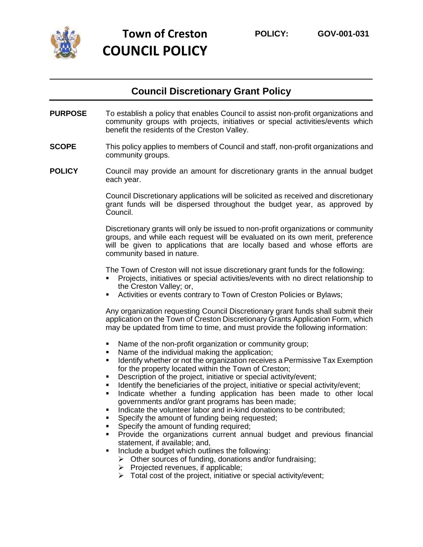

## **Council Discretionary Grant Policy**

- **PURPOSE** To establish a policy that enables Council to assist non-profit organizations and community groups with projects, initiatives or special activities/events which benefit the residents of the Creston Valley.
- **SCOPE** This policy applies to members of Council and staff, non-profit organizations and community groups.
- **POLICY** Council may provide an amount for discretionary grants in the annual budget each year.

Council Discretionary applications will be solicited as received and discretionary grant funds will be dispersed throughout the budget year, as approved by Council.

Discretionary grants will only be issued to non-profit organizations or community groups, and while each request will be evaluated on its own merit, preference will be given to applications that are locally based and whose efforts are community based in nature.

The Town of Creston will not issue discretionary grant funds for the following:

- Projects, initiatives or special activities/events with no direct relationship to the Creston Valley; or,
- Activities or events contrary to Town of Creston Policies or Bylaws;

Any organization requesting Council Discretionary grant funds shall submit their application on the Town of Creston Discretionary Grants Application Form, which may be updated from time to time, and must provide the following information:

- Name of the non-profit organization or community group;
- Name of the individual making the application;
- **EXED IDENT** Identify whether or not the organization receives a Permissive Tax Exemption for the property located within the Town of Creston;
- Description of the project, initiative or special activity/event;
- **EXEDENT** Identify the beneficiaries of the project, initiative or special activity/event;
- **.** Indicate whether a funding application has been made to other local governments and/or grant programs has been made;
- Indicate the volunteer labor and in-kind donations to be contributed;
- Specify the amount of funding being requested;
- Specify the amount of funding required;
- Provide the organizations current annual budget and previous financial statement, if available; and,
- Include a budget which outlines the following:
	- ➢ Other sources of funding, donations and/or fundraising;
	- $\triangleright$  Projected revenues, if applicable;
	- $\triangleright$  Total cost of the project, initiative or special activity/event;